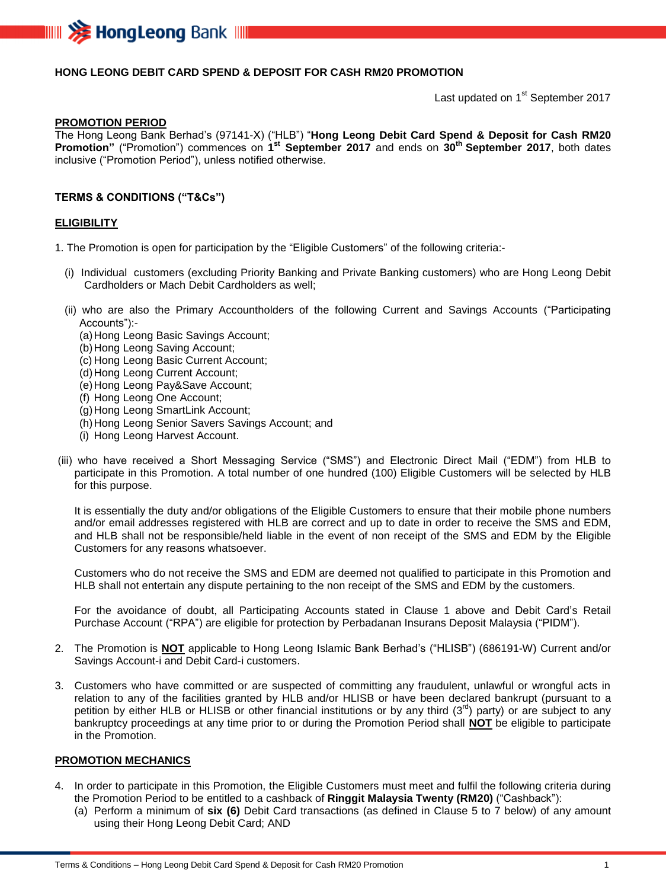

## **HONG LEONG DEBIT CARD SPEND & DEPOSIT FOR CASH RM20 PROMOTION**

Last updated on 1<sup>st</sup> September 2017

#### **PROMOTION PERIOD**

The Hong Leong Bank Berhad's (97141-X) ("HLB") "**Hong Leong Debit Card Spend & Deposit for Cash RM20 Promotion"** ("Promotion") commences on **1 st September 2017** and ends on **30 th September 2017**, both dates inclusive ("Promotion Period"), unless notified otherwise.

### **TERMS & CONDITIONS ("T&Cs")**

#### **ELIGIBILITY**

1. The Promotion is open for participation by the "Eligible Customers" of the following criteria:-

- (i) Individual customers (excluding Priority Banking and Private Banking customers) who are Hong Leong Debit Cardholders or Mach Debit Cardholders as well;
- (ii) who are also the Primary Accountholders of the following Current and Savings Accounts ("Participating Accounts"):-
	- (a)Hong Leong Basic Savings Account;
	- (b)Hong Leong Saving Account;
	- (c) Hong Leong Basic Current Account;
	- (d) Hong Leong Current Account;
	- (e)Hong Leong Pay&Save Account;
	- (f) Hong Leong One Account;
	- (g)Hong Leong SmartLink Account;
	- (h) Hong Leong Senior Savers Savings Account; and
	- (i) Hong Leong Harvest Account.
- (iii) who have received a Short Messaging Service ("SMS") and Electronic Direct Mail ("EDM") from HLB to participate in this Promotion. A total number of one hundred (100) Eligible Customers will be selected by HLB for this purpose.

It is essentially the duty and/or obligations of the Eligible Customers to ensure that their mobile phone numbers and/or email addresses registered with HLB are correct and up to date in order to receive the SMS and EDM, and HLB shall not be responsible/held liable in the event of non receipt of the SMS and EDM by the Eligible Customers for any reasons whatsoever.

Customers who do not receive the SMS and EDM are deemed not qualified to participate in this Promotion and HLB shall not entertain any dispute pertaining to the non receipt of the SMS and EDM by the customers.

For the avoidance of doubt, all Participating Accounts stated in Clause 1 above and Debit Card's Retail Purchase Account ("RPA") are eligible for protection by Perbadanan Insurans Deposit Malaysia ("PIDM").

- 2. The Promotion is **NOT** applicable to Hong Leong Islamic Bank Berhad's ("HLISB") (686191-W) Current and/or Savings Account-i and Debit Card-i customers.
- 3. Customers who have committed or are suspected of committing any fraudulent, unlawful or wrongful acts in relation to any of the facilities granted by HLB and/or HLISB or have been declared bankrupt (pursuant to a petition by either HLB or HLISB or other financial institutions or by any third  $(3^{rd})$  party) or are subject to any bankruptcy proceedings at any time prior to or during the Promotion Period shall **NOT** be eligible to participate in the Promotion.

## **PROMOTION MECHANICS**

- 4. In order to participate in this Promotion, the Eligible Customers must meet and fulfil the following criteria during the Promotion Period to be entitled to a cashback of **Ringgit Malaysia Twenty (RM20)** ("Cashback"):
	- (a) Perform a minimum of **six (6)** Debit Card transactions (as defined in Clause 5 to 7 below) of any amount using their Hong Leong Debit Card; AND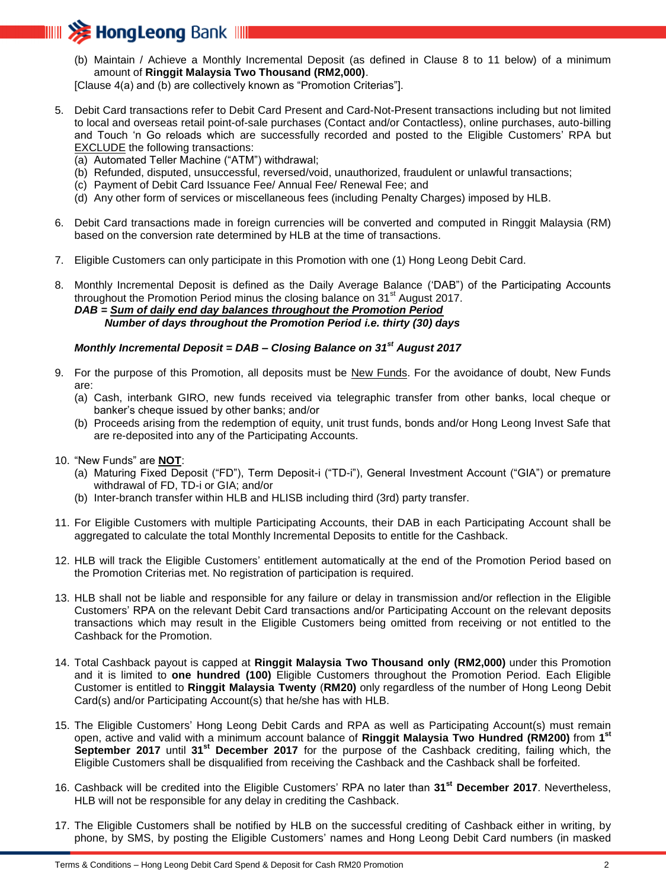

(b) Maintain / Achieve a Monthly Incremental Deposit (as defined in Clause 8 to 11 below) of a minimum amount of **Ringgit Malaysia Two Thousand (RM2,000)**.

[Clause 4(a) and (b) are collectively known as "Promotion Criterias"].

- 5. Debit Card transactions refer to Debit Card Present and Card-Not-Present transactions including but not limited to local and overseas retail point-of-sale purchases (Contact and/or Contactless), online purchases, auto-billing and Touch 'n Go reloads which are successfully recorded and posted to the Eligible Customers' RPA but EXCLUDE the following transactions:
	- (a) Automated Teller Machine ("ATM") withdrawal;
	- (b) Refunded, disputed, unsuccessful, reversed/void, unauthorized, fraudulent or unlawful transactions;
	- (c) Payment of Debit Card Issuance Fee/ Annual Fee/ Renewal Fee; and
	- (d) Any other form of services or miscellaneous fees (including Penalty Charges) imposed by HLB.
- 6. Debit Card transactions made in foreign currencies will be converted and computed in Ringgit Malaysia (RM) based on the conversion rate determined by HLB at the time of transactions.
- 7. Eligible Customers can only participate in this Promotion with one (1) Hong Leong Debit Card.

8. Monthly Incremental Deposit is defined as the Daily Average Balance ('DAB") of the Participating Accounts throughout the Promotion Period minus the closing balance on  $31<sup>st</sup>$  August 2017. *DAB = Sum of daily end day balances throughout the Promotion Period Number of days throughout the Promotion Period i.e. thirty (30) days*

# *Monthly Incremental Deposit = DAB – Closing Balance on 31st August 2017*

- 9. For the purpose of this Promotion, all deposits must be New Funds. For the avoidance of doubt, New Funds are:
	- (a) Cash, interbank GIRO, new funds received via telegraphic transfer from other banks, local cheque or banker's cheque issued by other banks; and/or
	- (b) Proceeds arising from the redemption of equity, unit trust funds, bonds and/or Hong Leong Invest Safe that are re-deposited into any of the Participating Accounts.
- 10. "New Funds" are **NOT**:
	- (a) Maturing Fixed Deposit ("FD"), Term Deposit-i ("TD-i"), General Investment Account ("GIA") or premature withdrawal of FD, TD-i or GIA; and/or
	- (b) Inter-branch transfer within HLB and HLISB including third (3rd) party transfer.
- 11. For Eligible Customers with multiple Participating Accounts, their DAB in each Participating Account shall be aggregated to calculate the total Monthly Incremental Deposits to entitle for the Cashback.
- 12. HLB will track the Eligible Customers' entitlement automatically at the end of the Promotion Period based on the Promotion Criterias met. No registration of participation is required.
- 13. HLB shall not be liable and responsible for any failure or delay in transmission and/or reflection in the Eligible Customers' RPA on the relevant Debit Card transactions and/or Participating Account on the relevant deposits transactions which may result in the Eligible Customers being omitted from receiving or not entitled to the Cashback for the Promotion.
- 14. Total Cashback payout is capped at **Ringgit Malaysia Two Thousand only (RM2,000)** under this Promotion and it is limited to **one hundred (100)** Eligible Customers throughout the Promotion Period. Each Eligible Customer is entitled to **Ringgit Malaysia Twenty** (**RM20)** only regardless of the number of Hong Leong Debit Card(s) and/or Participating Account(s) that he/she has with HLB.
- 15. The Eligible Customers' Hong Leong Debit Cards and RPA as well as Participating Account(s) must remain open, active and valid with a minimum account balance of **Ringgit Malaysia Two Hundred (RM200)** from **1 st September 2017** until **31st December 2017** for the purpose of the Cashback crediting, failing which, the Eligible Customers shall be disqualified from receiving the Cashback and the Cashback shall be forfeited.
- 16. Cashback will be credited into the Eligible Customers' RPA no later than **31st December 2017**. Nevertheless, HLB will not be responsible for any delay in crediting the Cashback.
- 17. The Eligible Customers shall be notified by HLB on the successful crediting of Cashback either in writing, by phone, by SMS, by posting the Eligible Customers' names and Hong Leong Debit Card numbers (in masked